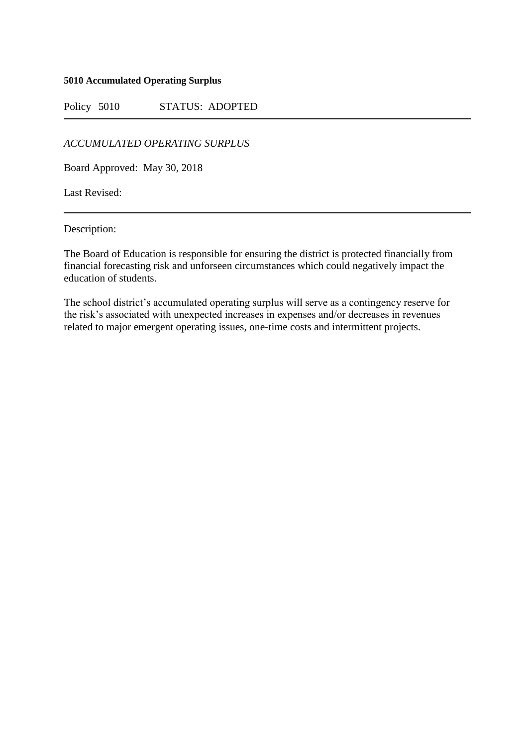## **5010 Accumulated Operating Surplus**

Policy 5010 STATUS: ADOPTED

*ACCUMULATED OPERATING SURPLUS*

Board Approved: May 30, 2018

Last Revised:

Description:

The Board of Education is responsible for ensuring the district is protected financially from financial forecasting risk and unforseen circumstances which could negatively impact the education of students.

The school district's accumulated operating surplus will serve as a contingency reserve for the risk's associated with unexpected increases in expenses and/or decreases in revenues related to major emergent operating issues, one-time costs and intermittent projects.